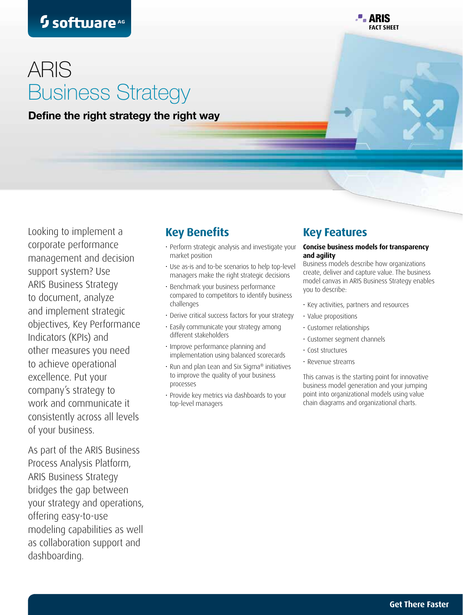**P. ARIS Fact sheet**

# ARIS Business Strategy

Define the right strategy the right way

Looking to implement a corporate performance management and decision support system? Use ARIS Business Strategy to document, analyze and implement strategic objectives, Key Performance Indicators (KPIs) and other measures you need to achieve operational excellence. Put your company's strategy to work and communicate it consistently across all levels of your business.

As part of the ARIS Business Process Analysis Platform, ARIS Business Strategy bridges the gap between your strategy and operations, offering easy-to-use modeling capabilities as well as collaboration support and dashboarding.

## **Key Benefits**

- Perform strategic analysis and investigate your market position
- • Use as-is and to-be scenarios to help top-level managers make the right strategic decisions
- Benchmark your business performance compared to competitors to identify business challenges
- Derive critical success factors for your strategy
- Easily communicate your strategy among different stakeholders
- • Improve performance planning and implementation using balanced scorecards
- Run and plan Lean and Six Sigma® initiatives to improve the quality of your business processes
- Provide key metrics via dashboards to your top-level managers

### **Key Features**

#### **Concise business models for transparency and agility**

Business models describe how organizations create, deliver and capture value. The business model canvas in ARIS Business Strategy enables you to describe:

- • Key activities, partners and resources
- • Value propositions
- • Customer relationships
- • Customer segment channels
- • Cost structures
- • Revenue streams

This canvas is the starting point for innovative business model generation and your jumping point into organizational models using value chain diagrams and organizational charts.